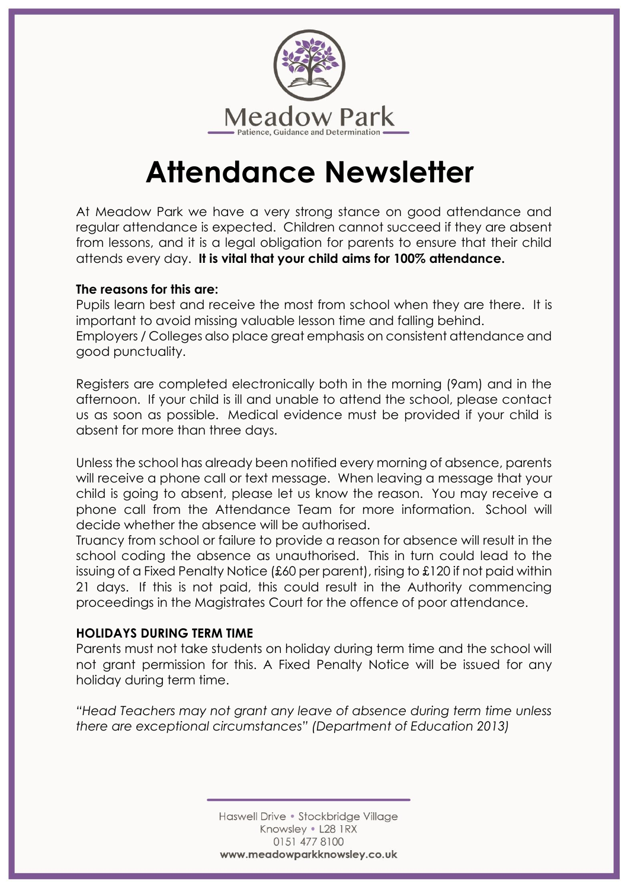

# **Attendance Newsletter**

At Meadow Park we have a very strong stance on good attendance and regular attendance is expected. Children cannot succeed if they are absent from lessons, and it is a legal obligation for parents to ensure that their child attends every day. **It is vital that your child aims for 100% attendance.**

### **The reasons for this are:**

Pupils learn best and receive the most from school when they are there. It is important to avoid missing valuable lesson time and falling behind. Employers / Colleges also place great emphasis on consistent attendance and good punctuality.

Registers are completed electronically both in the morning (9am) and in the afternoon. If your child is ill and unable to attend the school, please contact us as soon as possible. Medical evidence must be provided if your child is absent for more than three days.

Unless the school has already been notified every morning of absence, parents will receive a phone call or text message. When leaving a message that your child is going to absent, please let us know the reason. You may receive a phone call from the Attendance Team for more information. School will decide whether the absence will be authorised.

Truancy from school or failure to provide a reason for absence will result in the school coding the absence as unauthorised. This in turn could lead to the issuing of a Fixed Penalty Notice (£60 per parent), rising to £120 if not paid within 21 days. If this is not paid, this could result in the Authority commencing proceedings in the Magistrates Court for the offence of poor attendance.

### **HOLIDAYS DURING TERM TIME**

Parents must not take students on holiday during term time and the school will not grant permission for this. A Fixed Penalty Notice will be issued for any holiday during term time.

*"Head Teachers may not grant any leave of absence during term time unless there are exceptional circumstances" (Department of Education 2013)*

> Haswell Drive • Stockbridge Village Knowsley . L28 1RX 0151 477 8100 www.meadowparkknowsley.co.uk